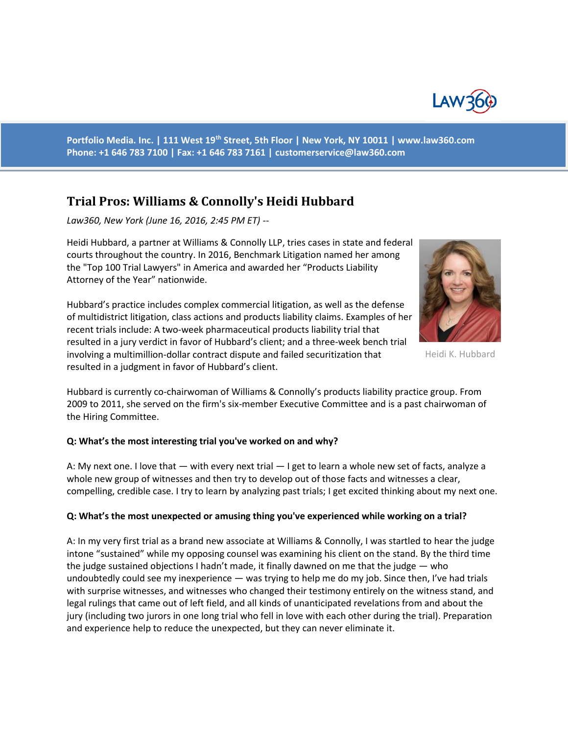

**Portfolio Media. Inc. | 111 West 19th Street, 5th Floor | New York, NY 10011 | www.law360.com Phone: +1 646 783 7100 | Fax: +1 646 783 7161 | [customerservice@law360.com](mailto:customerservice@law360.com)**

# **Trial Pros: Williams & Connolly's Heidi Hubbard**

*Law360, New York (June 16, 2016, 2:45 PM ET) --*

Heidi Hubbard, a partner at Williams & Connolly LLP, tries cases in state and federal courts throughout the country. In 2016, Benchmark Litigation named her among the "Top 100 Trial Lawyers" in America and awarded her "Products Liability Attorney of the Year" nationwide.





Heidi K. Hubbard

Hubbard is currently co-chairwoman of Williams & Connolly's products liability practice group. From 2009 to 2011, she served on the firm's six-member Executive Committee and is a past chairwoman of the Hiring Committee.

### **Q: What's the most interesting trial you've worked on and why?**

A: My next one. I love that — with every next trial — I get to learn a whole new set of facts, analyze a whole new group of witnesses and then try to develop out of those facts and witnesses a clear, compelling, credible case. I try to learn by analyzing past trials; I get excited thinking about my next one.

### **Q: What's the most unexpected or amusing thing you've experienced while working on a trial?**

A: In my very first trial as a brand new associate at Williams & Connolly, I was startled to hear the judge intone "sustained" while my opposing counsel was examining his client on the stand. By the third time the judge sustained objections I hadn't made, it finally dawned on me that the judge — who undoubtedly could see my inexperience — was trying to help me do my job. Since then, I've had trials with surprise witnesses, and witnesses who changed their testimony entirely on the witness stand, and legal rulings that came out of left field, and all kinds of unanticipated revelations from and about the jury (including two jurors in one long trial who fell in love with each other during the trial). Preparation and experience help to reduce the unexpected, but they can never eliminate it.